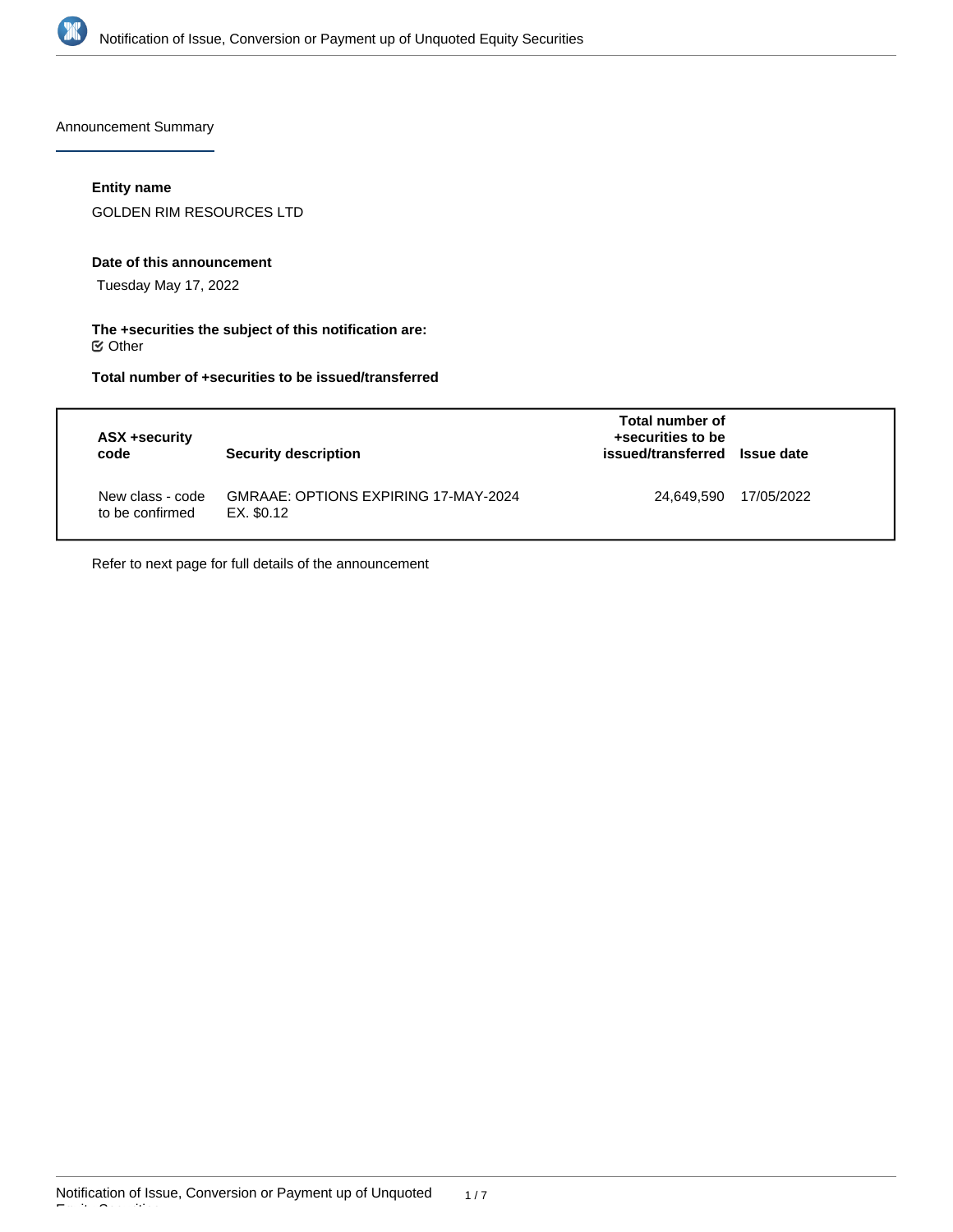

Announcement Summary

# **Entity name**

GOLDEN RIM RESOURCES LTD

### **Date of this announcement**

Tuesday May 17, 2022

## **The +securities the subject of this notification are:**  $\mathfrak S$  Other

# **Total number of +securities to be issued/transferred**

| ASX +security<br>code               | Security description                               | Total number of<br>+securities to be<br>issued/transferred Issue date |            |
|-------------------------------------|----------------------------------------------------|-----------------------------------------------------------------------|------------|
| New class - code<br>to be confirmed | GMRAAE: OPTIONS EXPIRING 17-MAY-2024<br>EX. \$0.12 | 24.649.590                                                            | 17/05/2022 |

Refer to next page for full details of the announcement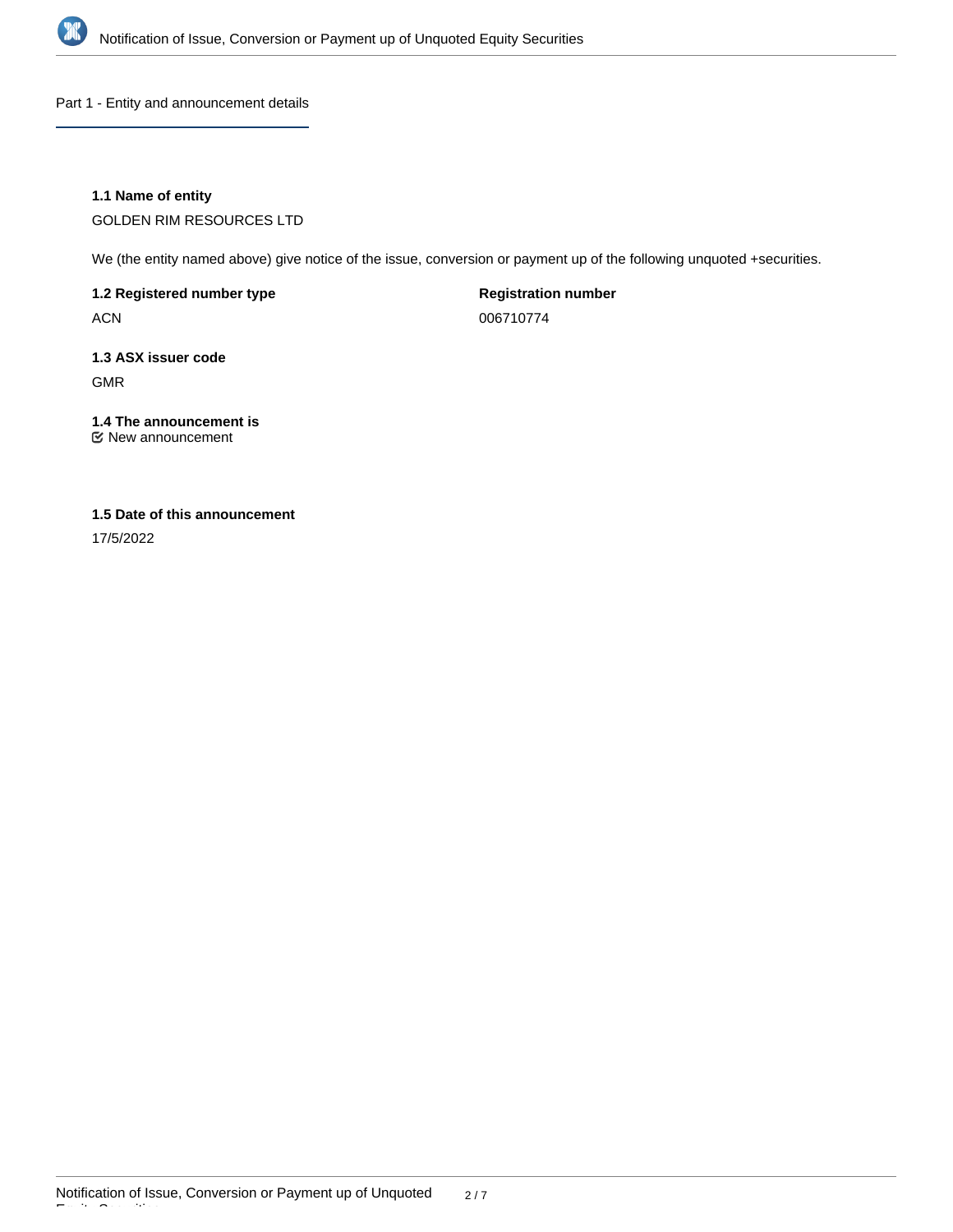

Part 1 - Entity and announcement details

# **1.1 Name of entity**

GOLDEN RIM RESOURCES LTD

We (the entity named above) give notice of the issue, conversion or payment up of the following unquoted +securities.

**1.2 Registered number type**

ACN

**Registration number**

006710774

# **1.3 ASX issuer code** GMR

**1.4 The announcement is**

New announcement

# **1.5 Date of this announcement**

17/5/2022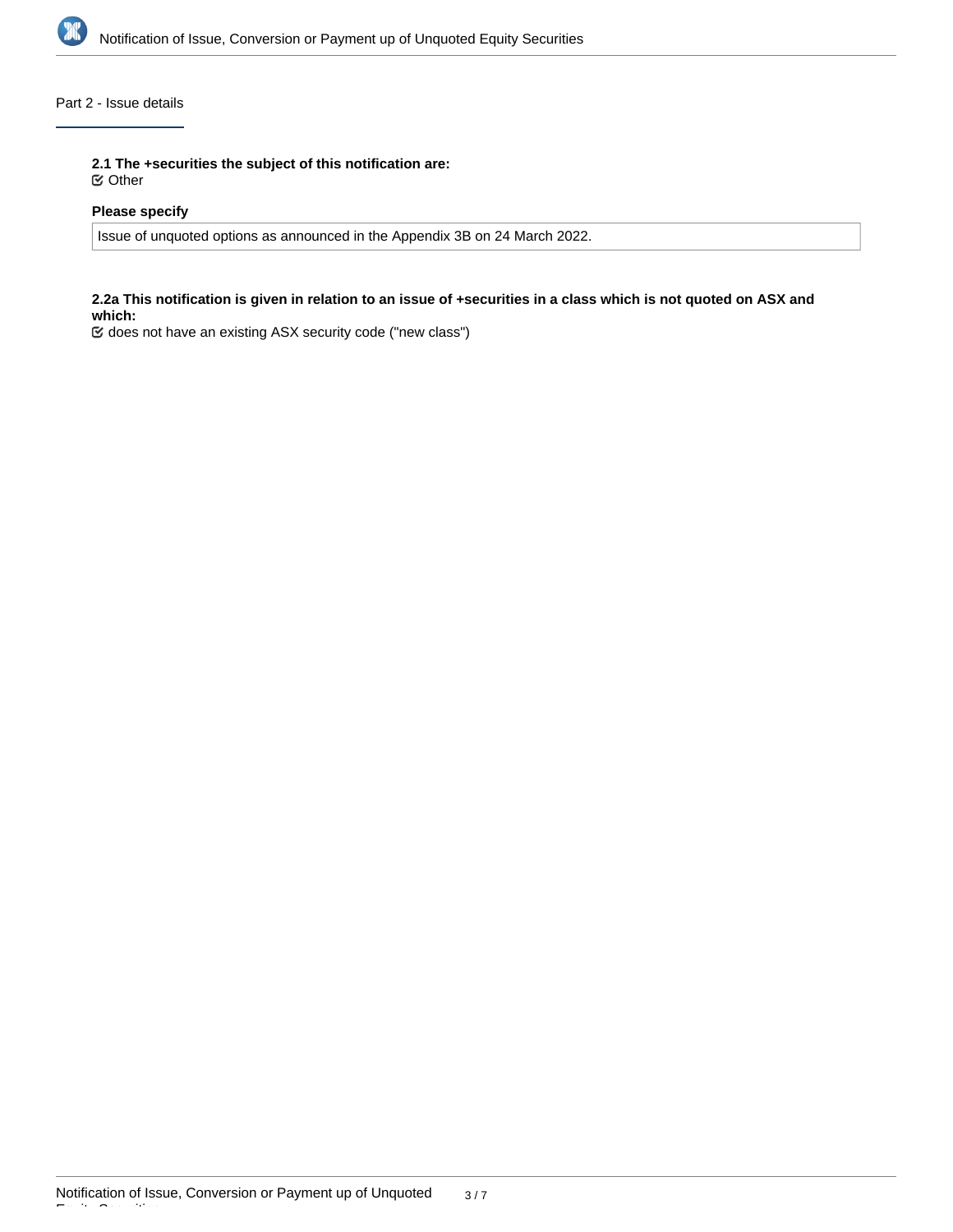

# Part 2 - Issue details

**2.1 The +securities the subject of this notification are:**

Other

# **Please specify**

Issue of unquoted options as announced in the Appendix 3B on 24 March 2022.

### **2.2a This notification is given in relation to an issue of +securities in a class which is not quoted on ASX and which:**

does not have an existing ASX security code ("new class")

Equity Securities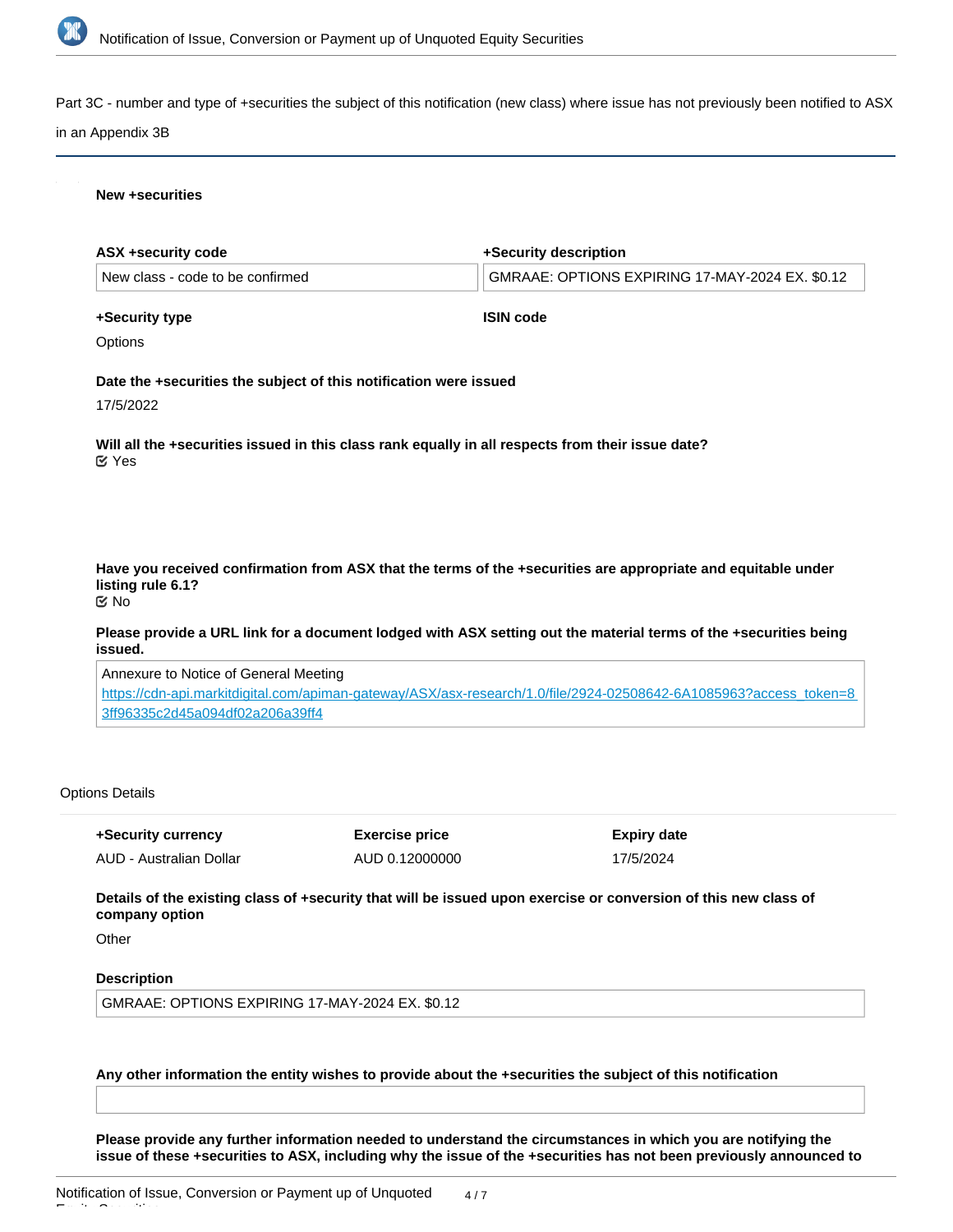

Part 3C - number and type of +securities the subject of this notification (new class) where issue has not previously been notified to ASX

#### in an Appendix 3B

#### **New +securities**

| ASX +security code                                                | +Security description                                                                                             |
|-------------------------------------------------------------------|-------------------------------------------------------------------------------------------------------------------|
| New class - code to be confirmed                                  | GMRAAE: OPTIONS EXPIRING 17-MAY-2024 EX. \$0.12                                                                   |
| +Security type                                                    | <b>ISIN code</b>                                                                                                  |
| Options                                                           |                                                                                                                   |
| Date the +securities the subject of this notification were issued |                                                                                                                   |
| 17/5/2022                                                         |                                                                                                                   |
| $\mathfrak{C}$ Yes                                                | Will all the +securities issued in this class rank equally in all respects from their issue date?                 |
| listing rule 6.1?<br>় No                                         | Have you received confirmation from ASX that the terms of the +securities are appropriate and equitable under     |
| issued.                                                           | Please provide a URL link for a document lodged with ASX setting out the material terms of the +securities being  |
| Annexure to Notice of General Meeting                             |                                                                                                                   |
|                                                                   | https://cdn-api.markitdigital.com/apiman-gateway/ASX/asx-research/1.0/file/2924-02508642-6A10859632access_token=8 |

[https://cdn-api.markitdigital.com/apiman-gateway/ASX/asx-research/1.0/file/2924-02508642-6A1085963?access\\_token=8](https://cdn-api.markitdigital.com/apiman-gateway/ASX/asx-research/1.0/file/2924-02508642-6A1085963?access_token=83ff96335c2d45a094df02a206a39ff4) [3ff96335c2d45a094df02a206a39ff4](https://cdn-api.markitdigital.com/apiman-gateway/ASX/asx-research/1.0/file/2924-02508642-6A1085963?access_token=83ff96335c2d45a094df02a206a39ff4)

### Options Details

**+Security currency** AUD - Australian Dollar **Exercise price** AUD 0.12000000 **Expiry date** 17/5/2024

**Details of the existing class of +security that will be issued upon exercise or conversion of this new class of company option**

**Other** 

Equity Securities

## **Description**

GMRAAE: OPTIONS EXPIRING 17-MAY-2024 EX. \$0.12

**Any other information the entity wishes to provide about the +securities the subject of this notification**

**Please provide any further information needed to understand the circumstances in which you are notifying the issue of these +securities to ASX, including why the issue of the +securities has not been previously announced to**

**the market in an Appendix 3B**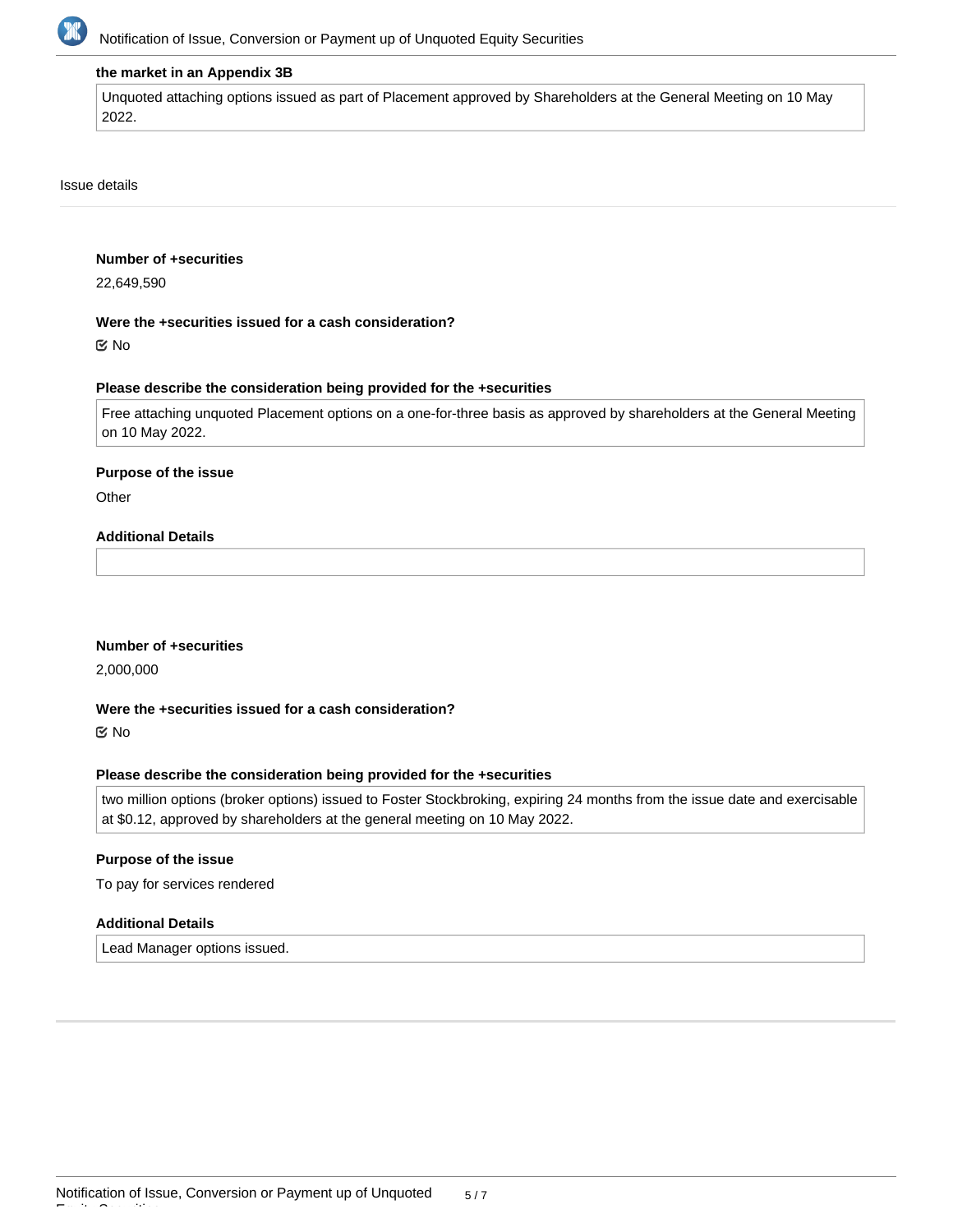

#### **the market in an Appendix 3B**

Unquoted attaching options issued as part of Placement approved by Shareholders at the General Meeting on 10 May 2022.

#### Issue details

#### **Number of +securities**

22,649,590

#### **Were the +securities issued for a cash consideration?**

No

#### **Please describe the consideration being provided for the +securities**

Free attaching unquoted Placement options on a one-for-three basis as approved by shareholders at the General Meeting on 10 May 2022.

#### **Purpose of the issue**

**Other** 

# **Additional Details**

### **Number of +securities**

2,000,000

## **Were the +securities issued for a cash consideration?**

No

Equity Securities

#### **Please describe the consideration being provided for the +securities**

two million options (broker options) issued to Foster Stockbroking, expiring 24 months from the issue date and exercisable at \$0.12, approved by shareholders at the general meeting on 10 May 2022.

#### **Purpose of the issue**

To pay for services rendered

#### **Additional Details**

Lead Manager options issued.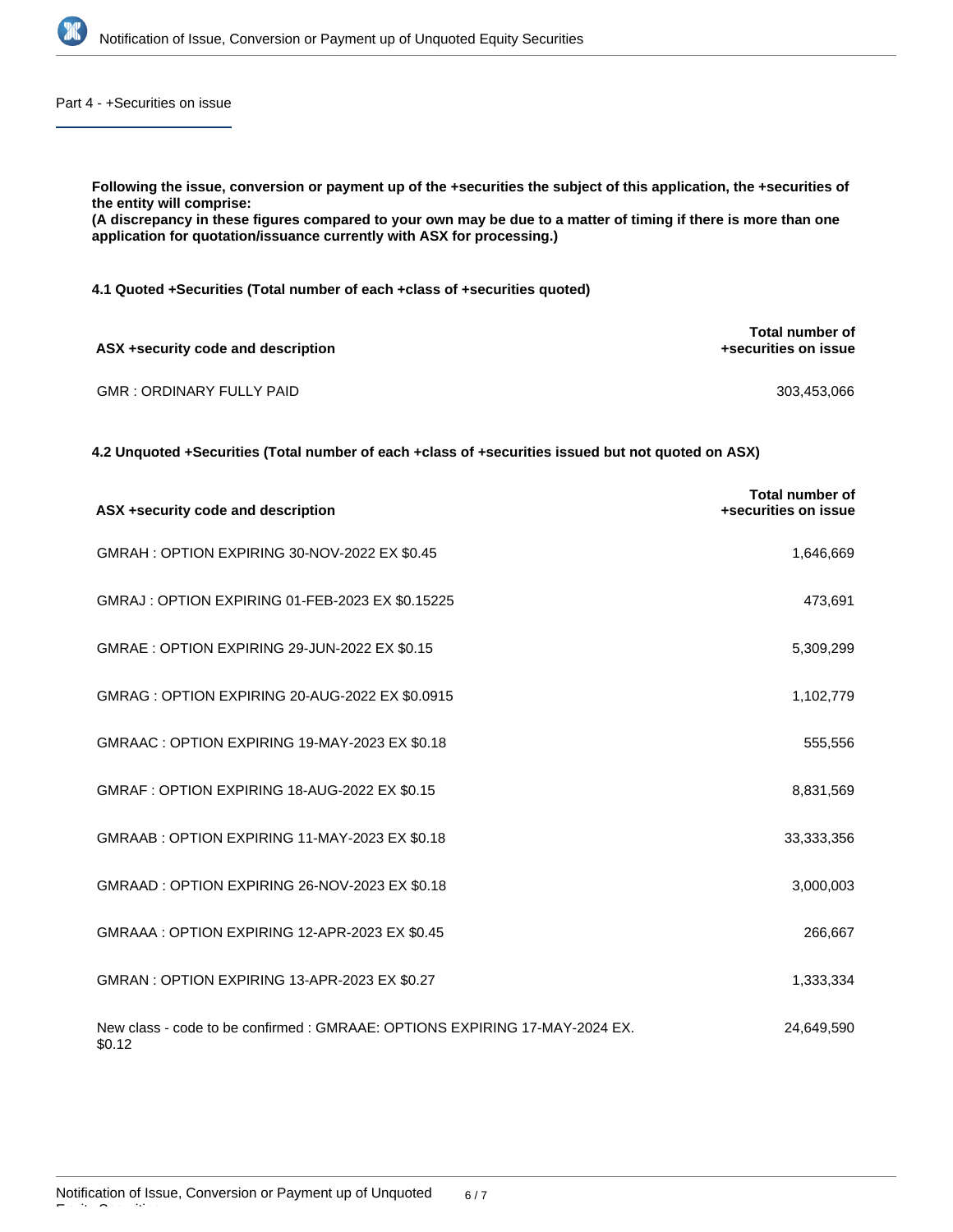

Part 4 - +Securities on issue

**Following the issue, conversion or payment up of the +securities the subject of this application, the +securities of the entity will comprise: (A discrepancy in these figures compared to your own may be due to a matter of timing if there is more than one application for quotation/issuance currently with ASX for processing.) 4.1 Quoted +Securities (Total number of each +class of +securities quoted) ASX +security code and description Total number of +securities on issue** GMR : ORDINARY FULLY PAID 303,453,066

**4.2 Unquoted +Securities (Total number of each +class of +securities issued but not quoted on ASX)**

| ASX +security code and description                                                   | <b>Total number of</b><br>+securities on issue |
|--------------------------------------------------------------------------------------|------------------------------------------------|
| GMRAH: OPTION EXPIRING 30-NOV-2022 EX \$0.45                                         | 1,646,669                                      |
| GMRAJ : OPTION EXPIRING 01-FEB-2023 EX \$0.15225                                     | 473,691                                        |
| GMRAE : OPTION EXPIRING 29-JUN-2022 EX \$0.15                                        | 5,309,299                                      |
| GMRAG: OPTION EXPIRING 20-AUG-2022 EX \$0.0915                                       | 1,102,779                                      |
| GMRAAC: OPTION EXPIRING 19-MAY-2023 EX \$0.18                                        | 555,556                                        |
| GMRAF: OPTION EXPIRING 18-AUG-2022 EX \$0.15                                         | 8,831,569                                      |
| GMRAAB: OPTION EXPIRING 11-MAY-2023 EX \$0.18                                        | 33,333,356                                     |
| GMRAAD: OPTION EXPIRING 26-NOV-2023 EX \$0.18                                        | 3,000,003                                      |
| GMRAAA: OPTION EXPIRING 12-APR-2023 EX \$0.45                                        | 266,667                                        |
| GMRAN : OPTION EXPIRING 13-APR-2023 EX \$0.27                                        | 1,333,334                                      |
| New class - code to be confirmed: GMRAAE: OPTIONS EXPIRING 17-MAY-2024 EX.<br>\$0.12 | 24,649,590                                     |

Equity Securities